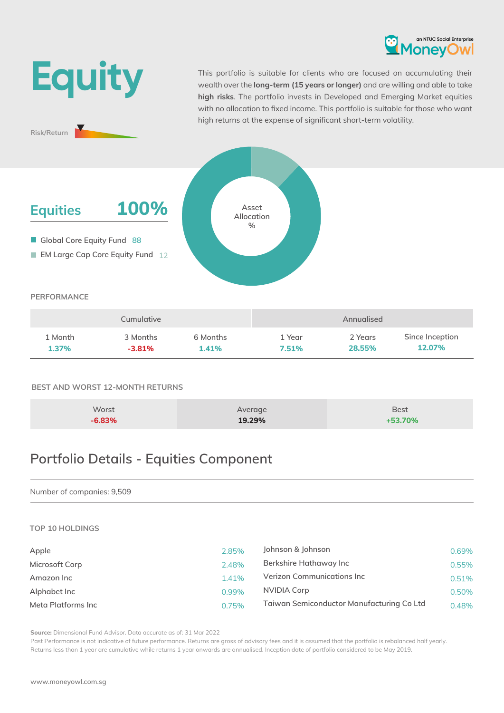



This portfolio is suitable for clients who are focused on accumulating their wealth over the **long-term (15 years or longer)** and are willing and able to take **high risks**. The portfolio invests in Developed and Emerging Market equities with no allocation to fixed income. This portfolio is suitable for those who want high returns at the expense of significant short-term volatility.

# **EM Large Cap Core Equity Fund 12 Global Core Equity Fund 88 Equities 100% Asset Allocation %**

#### **PERFORMANCE**

**Risk/Return**

|         | Cumulative |          |        | Annualised |                 |
|---------|------------|----------|--------|------------|-----------------|
| 1 Month | 3 Months   | 6 Months | 1 Year | 2 Years    | Since Inception |
| 1.37%   | $-3.81\%$  | 1.41%    | 7.51%  | 28.55%     | 12.07%          |

### **BEST AND WORST 12-MONTH RETURNS**

| Worst    | Average | <b>Best</b> |
|----------|---------|-------------|
| $-6.83%$ | 19.29%  | $+53.70%$   |

# **Portfolio Details - Equities Component**

#### Number of companies: 9,509

#### **TOP 10 HOLDINGS**

| Apple              | 2.85% | Johnson & Johnson                         | 0.69% |
|--------------------|-------|-------------------------------------------|-------|
| Microsoft Corp     | 2.48% | Berkshire Hathaway Inc                    | 0.55% |
| Amazon Inc         | 1.41% | Verizon Communications Inc                | 0.51% |
| Alphabet Inc       | 0.99% | NVIDIA Corp                               | 0.50% |
| Meta Platforms Inc | 0.75% | Taiwan Semiconductor Manufacturing Co Ltd | 0.48% |

**Source:** Dimensional Fund Advisor. Data accurate as of: 31 Mar 2022

Past Performance is not indicative of future performance. Returns are gross of advisory fees and it is assumed that the portfolio is rebalanced half yearly. Returns less than 1 year are cumulative while returns 1 year onwards are annualised. Inception date of portfolio considered to be May 2019.